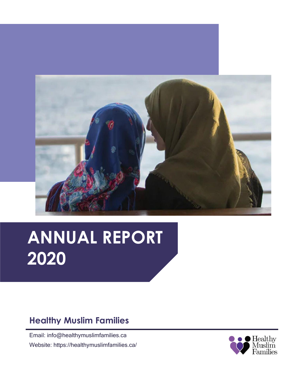

# **ANNUAL REPORT 2020**

### **Healthy Muslim Families**

Email: info@healthymuslimfamilies.ca Website: https://healthymuslimfamilies.ca/

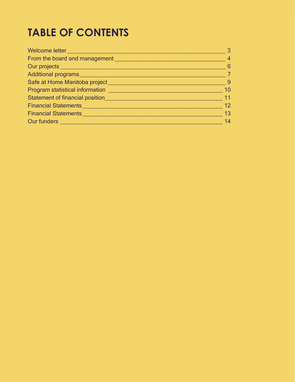# **TABLE OF CONTENTS**

| $\overline{4}$<br>From the board and management <b>Exercise 2018 Contract to the contract of the contract of the contract of the contract of the contract of the contract of the contract of the contract of the contract of the contract of the</b><br>$\sim$ 6<br>Our projects <u>experience and the series of the series of the series of the series of the series of the series of the series of the series of the series of the series of the series of the series of the series of the series </u><br>Additional programs<br>$\sqrt{7}$<br>Safe at Home Manitoba project and the contract of the contract of the contract of the contract of the contract of the contract of the contract of the contract of the contract of the contract of the contract of the contract<br>- 9<br>10<br>Program statistical information<br><u> Land and announcement</u> and anti-<br>11<br>Statement of financial position <b>Statement of financial position</b><br>12<br>13<br>Financial Statements <u>Communications</u> Contains a Statements Container<br>14 | Welcome letter | $\overline{3}$ |
|------------------------------------------------------------------------------------------------------------------------------------------------------------------------------------------------------------------------------------------------------------------------------------------------------------------------------------------------------------------------------------------------------------------------------------------------------------------------------------------------------------------------------------------------------------------------------------------------------------------------------------------------------------------------------------------------------------------------------------------------------------------------------------------------------------------------------------------------------------------------------------------------------------------------------------------------------------------------------------------------------------------------------------------------------------|----------------|----------------|
|                                                                                                                                                                                                                                                                                                                                                                                                                                                                                                                                                                                                                                                                                                                                                                                                                                                                                                                                                                                                                                                            |                |                |
|                                                                                                                                                                                                                                                                                                                                                                                                                                                                                                                                                                                                                                                                                                                                                                                                                                                                                                                                                                                                                                                            |                |                |
|                                                                                                                                                                                                                                                                                                                                                                                                                                                                                                                                                                                                                                                                                                                                                                                                                                                                                                                                                                                                                                                            |                |                |
|                                                                                                                                                                                                                                                                                                                                                                                                                                                                                                                                                                                                                                                                                                                                                                                                                                                                                                                                                                                                                                                            |                |                |
|                                                                                                                                                                                                                                                                                                                                                                                                                                                                                                                                                                                                                                                                                                                                                                                                                                                                                                                                                                                                                                                            |                |                |
|                                                                                                                                                                                                                                                                                                                                                                                                                                                                                                                                                                                                                                                                                                                                                                                                                                                                                                                                                                                                                                                            |                |                |
|                                                                                                                                                                                                                                                                                                                                                                                                                                                                                                                                                                                                                                                                                                                                                                                                                                                                                                                                                                                                                                                            |                |                |
|                                                                                                                                                                                                                                                                                                                                                                                                                                                                                                                                                                                                                                                                                                                                                                                                                                                                                                                                                                                                                                                            |                |                |
|                                                                                                                                                                                                                                                                                                                                                                                                                                                                                                                                                                                                                                                                                                                                                                                                                                                                                                                                                                                                                                                            |                |                |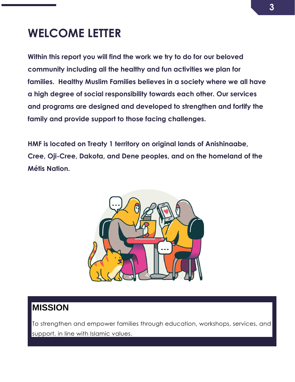# <span id="page-2-0"></span>**WELCOME LETTER**

**Within this report you will find the work we try to do for our beloved community including all the healthy and fun activities we plan for families. Healthy Muslim Families believes in a society where we all have a high degree of social responsibility towards each other. Our services and programs are designed and developed to strengthen and fortify the family and provide support to those facing challenges.**

**HMF is located on Treaty 1 territory on original lands of Anishinaabe, Cree, Oji-Cree, Dakota, and Dene peoples, and on the homeland of the Métis Nation.**



### **MISSION**

To strengthen and empower families through education, workshops, services, and support, in line with Islamic values.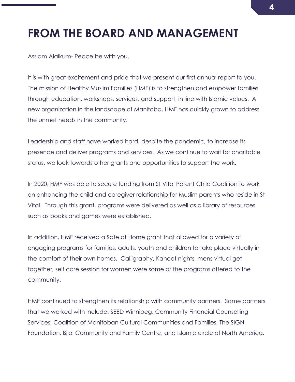# <span id="page-3-0"></span>**FROM THE BOARD AND MANAGEMENT**

Asslam Alaikum- Peace be with you.

It is with great excitement and pride that we present our first annual report to you. The mission of Healthy Muslim Families (HMF) is to strengthen and empower families through education, workshops, services, and support, in line with Islamic values. A new organization in the landscape of Manitoba, HMF has quickly grown to address the unmet needs in the community.

Leadership and staff have worked hard, despite the pandemic, to increase its presence and deliver programs and services. As we continue to wait for charitable status, we look towards other grants and opportunities to support the work.

In 2020, HMF was able to secure funding from St Vital Parent Child Coalition to work on enhancing the child and caregiver relationship for Muslim parents who reside in St Vital. Through this grant, programs were delivered as well as a library of resources such as books and games were established.

In addition, HMF received a Safe at Home grant that allowed for a variety of engaging programs for families, adults, youth and children to take place virtually in the comfort of their own homes. Calligraphy, Kahoot nights, mens virtual get together, self care session for women were some of the programs offered to the community.

HMF continued to strengthen its relationship with community partners. Some partners that we worked with include: SEED Winnipeg, Community Financial Counselling Services, Coalition of Manitoban Cultural Communities and Families, The SIGN Foundation, Bilal Community and Family Centre, and Islamic circle of North America.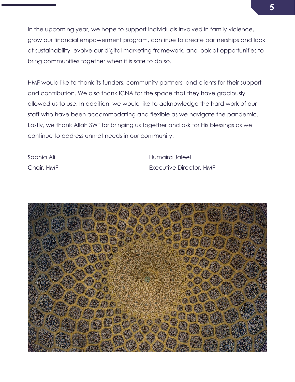In the upcoming year, we hope to support individuals involved in family violence, grow our financial empowerment program, continue to create partnerships and look at sustainability, evolve our digital marketing framework, and look at opportunities to bring communities together when it is safe to do so.

HMF would like to thank its funders, community partners, and clients for their support and contribution. We also thank ICNA for the space that they have graciously allowed us to use. In addition, we would like to acknowledge the hard work of our staff who have been accommodating and flexible as we navigate the pandemic. Lastly, we thank Allah SWT for bringing us together and ask for His blessings as we continue to address unmet needs in our community.

Sophia Ali **Karata Ali Ali Ali Ali Ali Ali Ali Ali Ali** Humaira Jaleel Chair, HMF Executive Director, HMF

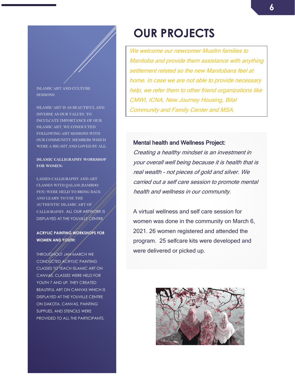#### ISLAMIC ART AND CULTURE SESSIONS:

ISLAMIC ART IS AS BEAUTIFUL AND DIVERSE AS OUR VALUES. TO INCULCATE IMPORTANCE OF OUR ISLAMIC ART, WE CONDUCTED FOLLOWING ART SESSIONS WITH OUR COMMUNITY MEMBERS WHICH WERE A BIG HIT AND LOVED BY ALL:

#### **ISLAMIC CALLIGRAPHY WORKSHOP FOR WOMEN:**

LADIES CALLIGRAPHY AND ART CLASSES WITH QALAM (BAMBOO PEN) WERE HELD TO BRING BACK AND LEARN TO USE THE AUTHENTIC ISLAMIC ART OF CALLIGRAPHY. ALL OUR ARTWORK IS DISPLAYED AT THE YOUVILLE CENTRE.

### **ACRYLIC PAINTING WORKSHOPS FOR WOMEN AND YOUTH:**

THROUGHOUT JAN-MARCH WE CONDUCTED ACRYLIC PAINTING CLASSES TO TEACH ISLAMIC ART ON CANVAS. CLASSES WERE HELD FOR YOUTH 7 AND UP. THEY CREATED BEAUTIFUL ART ON CANVAS WHICH IS DISPLAYED AT THE YOUVILLE CENTRE ON DAKOTA. CANVAS, PAINTING SUPPLIES, AND STENCILS WERE PROVIDED TO ALL THE PARTICIPANTS.

# <span id="page-5-0"></span>**OUR PROJECTS**

We welcome our newcomer Muslim families to Manitoba and provide them assistance with anything settlement related so the new Manitobans feel at home. In case we are not able to provide necessary help, we refer them to other friend organizations like CMWI, ICNA, New Journey Housing, Bilal Community and Family Center and MSA.

#### Mental health and Wellness Project:

Creating a healthy mindset is an investment in your overall well being because it is health that is real wealth - not pieces of gold and silver. We carried out a self care session to promote mental health and wellness in our community.

A virtual wellness and self care session for women was done in the community on March 6, 2021. 26 women registered and attended the program. 25 selfcare kits were developed and were delivered or picked up.

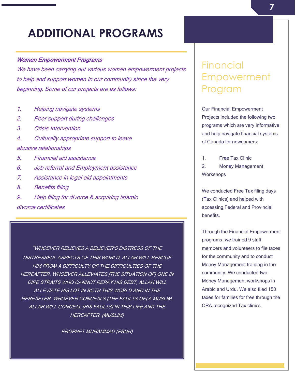# <span id="page-6-0"></span>**ADDITIONAL PROGRAMS**

### Women Empowerment Programs

We have been carrying out various women empowerment projects to help and support women in our community since the very beginning. Some of our projects are as follows:

- 1. Helping navigate systems
- 2. Peer support during challenges
- 3. Crisis Intervention
- 4. Culturally appropriate support to leave abusive relationships
- 5. Financial aid assistance
- 6. Job referral and Employment assistance
- 7. Assistance in legal aid appointments
- 8. Benefits filing
- 9. Help filing for divorce & acquiring Islamic

divorce certificates

"WHOEVER RELIEVES A BELIEVER'S DISTRESS OF THE DISTRESSFUL ASPECTS OF THIS WORLD, ALLAH WILL RESCUE HIM FROM A DIFFICULTY OF THE DIFFICULTIES OF THE HEREAFTER. WHOEVER ALLEVIATES [THE SITUATION OF] ONE IN DIRE STRAITS WHO CANNOT REPAY HIS DEBT, ALLAH WILL ALLEVIATE HIS LOT IN BOTH THIS WORLD AND IN THE HEREAFTER. WHOEVER CONCEALS [THE FAULTS OF] A MUSLIM, ALLAH WILL CONCEAL [HIS FAULTS] IN THIS LIFE AND THE HEREAFTER. (MUSLIM)

PROPHET MUHAMMAD (PBUH)

### **Financial** Empowerment Program

Our Financial Empowerment Projects included the following two programs which are very informative and help navigate financial systems of Canada for newcomers:

1. Free Tax Clinic 2. Money Management **Workshops** 

We conducted Free Tax filing days (Tax Clinics) and helped with accessing Federal and Provincial benefits.

Through the Financial Empowerment programs, we trained 9 staff members and volunteers to file taxes for the community and to conduct Money Management training in the community. We conducted two Money Management workshops in Arabic and Urdu. We also filed 150 taxes for families for free through the CRA recognized Tax clinics.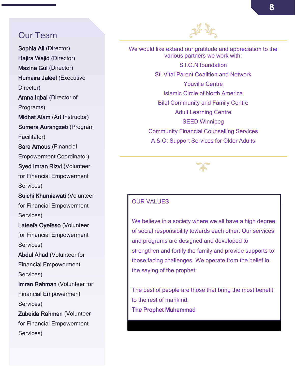### Our Team

Sophia Ali (Director) Hajira Wajid (Director) Mazina Gul (Director) Humaira Jaleel (Executive Director) Amna Iqbal (Director of Programs) Midhat Alam (Art Instructor) Sumera Aurangzeb (Program Facilitator) Sara Arnous (Financial Empowerment Coordinator) Syed Imran Rizvi (Volunteer for Financial Empowerment Services) Suichi Khurniawati (Volunteer for Financial Empowerment Services) Lateefa Oyefeso (Volunteer for Financial Empowerment Services) Abdul Ahad (Volunteer for Financial Empowerment Services) Imran Rahman (Volunteer for Financial Empowerment Services) Zubeida Rahman (Volunteer for Financial Empowerment Services)



We would like extend our gratitude and appreciation to the various partners we work with:

> S.I.G.N foundation St. Vital Parent Coalition and Network Youville Centre Islamic Circle of North America Bilal Community and Family Centre Adult Learning Centre SEED Winnipeg Community Financial Counselling Services A & O: Support Services for Older Adults



### OUR VALUES

We believe in a society where we all have a high degree of social responsibility towards each other. Our services and programs are designed and developed to strengthen and fortify the family and provide supports to those facing challenges. We operate from the belief in the saying of the prophet:

The best of people are those that bring the most benefit to the rest of mankind. The Prophet Muhammad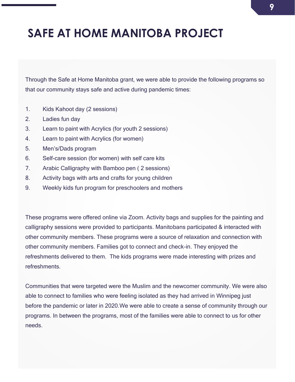# <span id="page-8-0"></span>**SAFE AT HOME MANITOBA PROJECT**

Through the Safe at Home Manitoba grant, we were able to provide the following programs so that our community stays safe and active during pandemic times:

- 1. Kids Kahoot day (2 sessions)
- 2. Ladies fun day
- 3. Learn to paint with Acrylics (for youth 2 sessions)
- 4. Learn to paint with Acrylics (for women)
- 5. Men's/Dads program
- 6. Self-care session (for women) with self care kits
- 7. Arabic Calligraphy with Bamboo pen ( 2 sessions)
- 8. Activity bags with arts and crafts for young children
- 9. Weekly kids fun program for preschoolers and mothers

These programs were offered online via Zoom. Activity bags and supplies for the painting and calligraphy sessions were provided to participants. Manitobans participated & interacted with other community members. These programs were a source of relaxation and connection with other community members. Families got to connect and check-in. They enjoyed the refreshments delivered to them. The kids programs were made interesting with prizes and refreshments.

Communities that were targeted were the Muslim and the newcomer community. We were also able to connect to families who were feeling isolated as they had arrived in Winnipeg just before the pandemic or later in 2020.We were able to create a sense of community through our programs. In between the programs, most of the families were able to connect to us for other needs.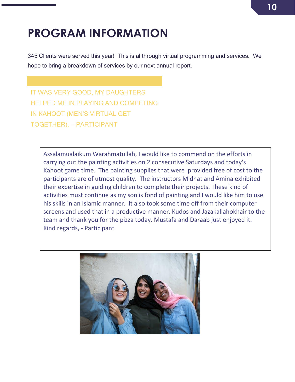# <span id="page-9-0"></span>**PROGRAM INFORMATION**

345 Clients were served this year! This is al through virtual programming and services. We hope to bring a breakdown of services by our next annual report.

IT WAS VERY GOOD, MY DAUGHTERS HELPED ME IN PLAYING AND COMPETING IN KAHOOT (MEN'S VIRTUAL GET TOGETHER). – PARTICIPANT

Assalamualaikum Warahmatullah, I would like to commend on the efforts in carrying out the painting activities on 2 consecutive Saturdays and today's Kahoot game time. The painting supplies that were provided free of cost to the participants are of utmost quality. The instructors Midhat and Amina exhibited their expertise in guiding children to complete their projects. These kind of activities must continue as my son is fond of painting and I would like him to use his skills in an Islamic manner. It also took some time off from their computer screens and used that in a productive manner. Kudos and Jazakallahokhair to the team and thank you for the pizza today. Mustafa and Daraab just enjoyed it. Kind regards, - Participant

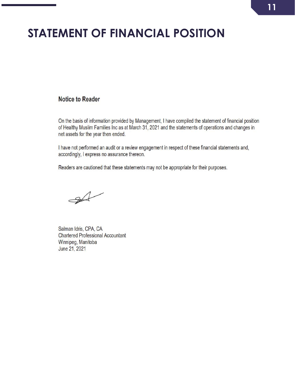# <span id="page-10-0"></span>**STATEMENT OF FINANCIAL POSITION**

### **Notice to Reader**

On the basis of information provided by Management, I have compiled the statement of financial position of Healthy Muslim Families Inc as at March 31, 2021 and the statements of operations and changes in net assets for the year then ended.

I have not performed an audit or a review engagement in respect of these financial statements and, accordingly, I express no assurance thereon.

Readers are cautioned that these statements may not be appropriate for their purposes.

 $\rightarrow$ 

Salman Idris, CPA, CA **Chartered Professional Accountant** Winnipeg, Manitoba June 21, 2021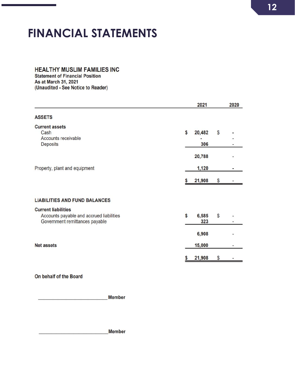# <span id="page-11-0"></span>**FINANCIAL STATEMENTS**

### **HEALTHY MUSLIM FAMILIES INC**

**Statement of Financial Position** As at March 31, 2021 (Unaudited - See Notice to Reader)

|                                                                                                          | 2021                |    | 2020 |
|----------------------------------------------------------------------------------------------------------|---------------------|----|------|
| <b>ASSETS</b>                                                                                            |                     |    |      |
| <b>Current assets</b><br>Cash<br>Accounts receivable<br>Deposits                                         | \$<br>20,482<br>306 | \$ |      |
|                                                                                                          | 20,788              |    |      |
| Property, plant and equipment                                                                            | 1,120               |    |      |
|                                                                                                          | 21,908              | \$ |      |
| <b>LIABILITIES AND FUND BALANCES</b>                                                                     |                     |    |      |
| <b>Current liabilities</b><br>Accounts payable and accrued liabilities<br>Government remittances payable | \$<br>6,585<br>323  | \$ |      |
|                                                                                                          | 6,908               |    |      |
| <b>Net assets</b>                                                                                        | 15,000              |    |      |
|                                                                                                          | 21,908              | S  |      |

On behalf of the Board

**Member** 

Member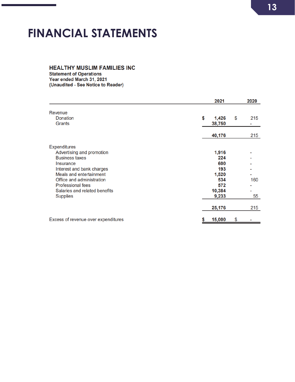# <span id="page-12-0"></span>**FINANCIAL STATEMENTS**

### **HEALTHY MUSLIM FAMILIES INC**

**Statement of Operations** Year ended March 31, 2021 (Unaudited - See Notice to Reader)

|                                                                                                                                                                                                         | 2021                                              | 2020      |
|---------------------------------------------------------------------------------------------------------------------------------------------------------------------------------------------------------|---------------------------------------------------|-----------|
| Revenue<br><b>Donation</b><br>Grants                                                                                                                                                                    | \$<br>1,426<br>38,750                             | \$<br>215 |
|                                                                                                                                                                                                         | 40,176                                            | 215       |
| <b>Expenditures</b><br>Advertising and promotion<br><b>Business taxes</b><br>Insurance<br>Interest and bank charges<br>Meals and entertainment<br>Office and administration<br><b>Professional fees</b> | 1,916<br>224<br>600<br>193<br>1,520<br>534<br>572 | 160       |
| Salaries and related benefits<br><b>Supplies</b>                                                                                                                                                        | 10,384<br>9,233<br>25,176                         | 55<br>215 |
| Excess of revenue over expenditures                                                                                                                                                                     | 15,000<br>\$                                      | \$        |